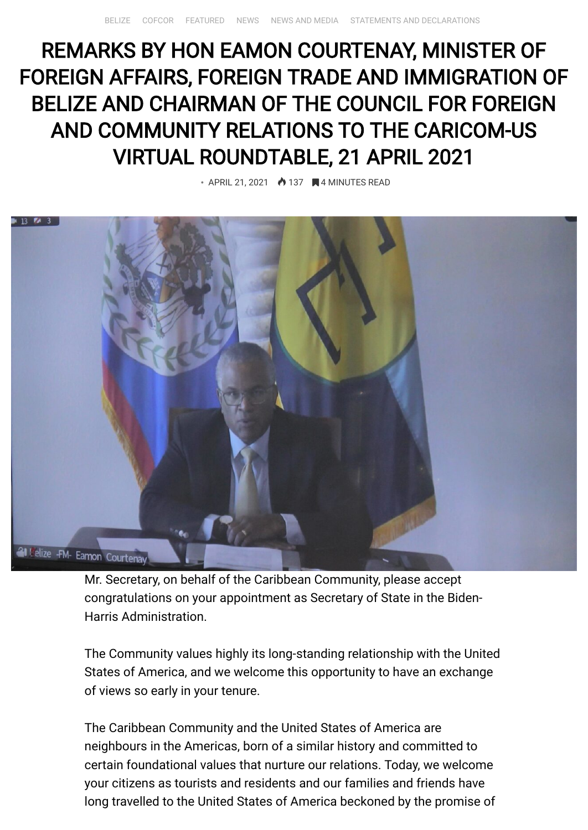## REMARKS BY HON EAMON COURTENAY, MINISTER OF FOREIGN AFFAIRS, FOREIGN TRADE AND IMMIGRATION OF BELIZE AND CHAIRMAN OF THE COUNCIL FOR FOREIGN AND COMMUNITY RELATIONS TO THE CARICOM-US VIRTUAL ROUNDTABLE, 21 APRIL 2021

 $\bullet$  APRIL 21, 2021  $\bullet$  137  $\blacksquare$  4 MINUTES READ



Mr. Secretary, on behalf of the Caribbean Community, please accept congratulations on your appointment as Secretary of State in the Biden-Harris Administration.

The Community values highly its long-standing relationship with the United States of America, and we welcome this opportunity to have an exchange of views so early in your tenure.

The Caribbean Community and the United States of America are neighbours in the Americas, born of a similar history and committed to certain foundational values that nurture our relations. Today, we welcome your citizens as tourists and residents and our families and friends have long travelled to the United States of America beckoned by the promise of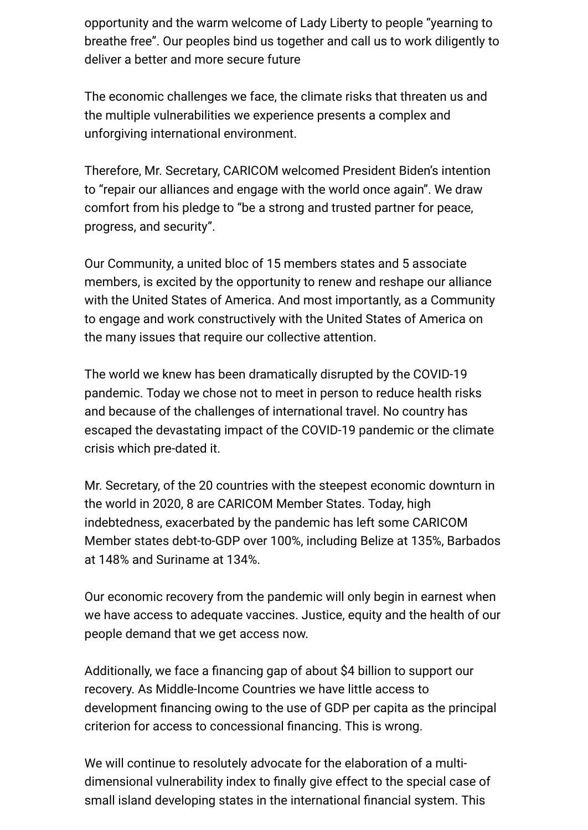opportunity and the warm welcome of Lady Liberty to people "yearning to breathe free". Our peoples bind us together and call us to work diligently to deliver a better and more secure future

The economic challenges we face, the climate risks that threaten us and the multiple vulnerabilities we experience presents a complex and unforgiving international environment.

Therefore, Mr. Secretary, CARICOM welcomed President Biden's intention to "repair our alliances and engage with the world once again". We draw comfort from his pledge to "be a strong and trusted partner for peace, progress, and security".

Our Community, a united bloc of 15 members states and 5 associate members, is excited by the opportunity to renew and reshape our alliance with the United States of America. And most importantly, as a Community to engage and work constructively with the United States of America on the many issues that require our collective attention.

The world we knew has been dramatically disrupted by the COVID-19 pandemic. Today we chose not to meet in person to reduce health risks and because of the challenges of international travel. No country has escaped the devastating impact of the COVID-19 pandemic or the climate crisis which pre-dated it.

Mr. Secretary, of the 20 countries with the steepest economic downturn in the world in 2020, 8 are CARICOM Member States. Today, high indebtedness, exacerbated by the pandemic has left some CARICOM Member states debt-to-GDP over 100%, including Belize at 135%, Barbados at 148% and Suriname at 134%.

Our economic recovery from the pandemic will only begin in earnest when we have access to adequate vaccines. Justice, equity and the health of our people demand that we get access now.

Additionally, we face a financing gap of about \$4 billion to support our recovery. As Middle-Income Countries we have little access to development financing owing to the use of GDP per capita as the principal criterion for access to concessional financing. This is wrong.

We will continue to resolutely advocate for the elaboration of a multidimensional vulnerability index to finally give effect to the special case of small island developing states in the international financial system. This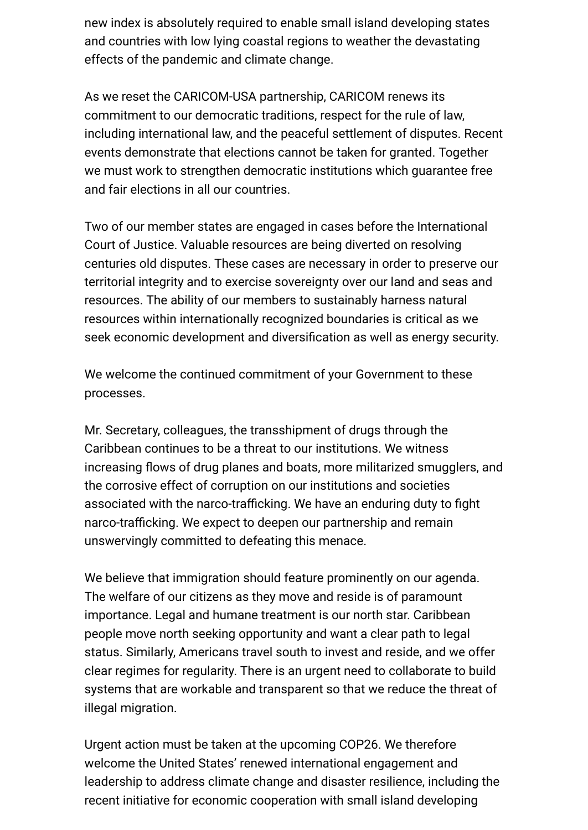new index is absolutely required to enable small island developing states and countries with low lying coastal regions to weather the devastating effects of the pandemic and climate change.

As we reset the CARICOM-USA partnership, CARICOM renews its commitment to our democratic traditions, respect for the rule of law, including international law, and the peaceful settlement of disputes. Recent events demonstrate that elections cannot be taken for granted. Together we must work to strengthen democratic institutions which guarantee free and fair elections in all our countries.

Two of our member states are engaged in cases before the International Court of Justice. Valuable resources are being diverted on resolving centuries old disputes. These cases are necessary in order to preserve our territorial integrity and to exercise sovereignty over our land and seas and resources. The ability of our members to sustainably harness natural resources within internationally recognized boundaries is critical as we seek economic development and diversification as well as energy security.

We welcome the continued commitment of your Government to these processes.

Mr. Secretary, colleagues, the transshipment of drugs through the Caribbean continues to be a threat to our institutions. We witness increasing flows of drug planes and boats, more militarized smugglers, and the corrosive effect of corruption on our institutions and societies associated with the narco-trafficking. We have an enduring duty to fight narco-trafficking. We expect to deepen our partnership and remain unswervingly committed to defeating this menace.

We believe that immigration should feature prominently on our agenda. The welfare of our citizens as they move and reside is of paramount importance. Legal and humane treatment is our north star. Caribbean people move north seeking opportunity and want a clear path to legal status. Similarly, Americans travel south to invest and reside, and we offer clear regimes for regularity. There is an urgent need to collaborate to build systems that are workable and transparent so that we reduce the threat of illegal migration.

Urgent action must be taken at the upcoming COP26. We therefore welcome the United States' renewed international engagement and leadership to address climate change and disaster resilience, including the recent initiative for economic cooperation with small island developing